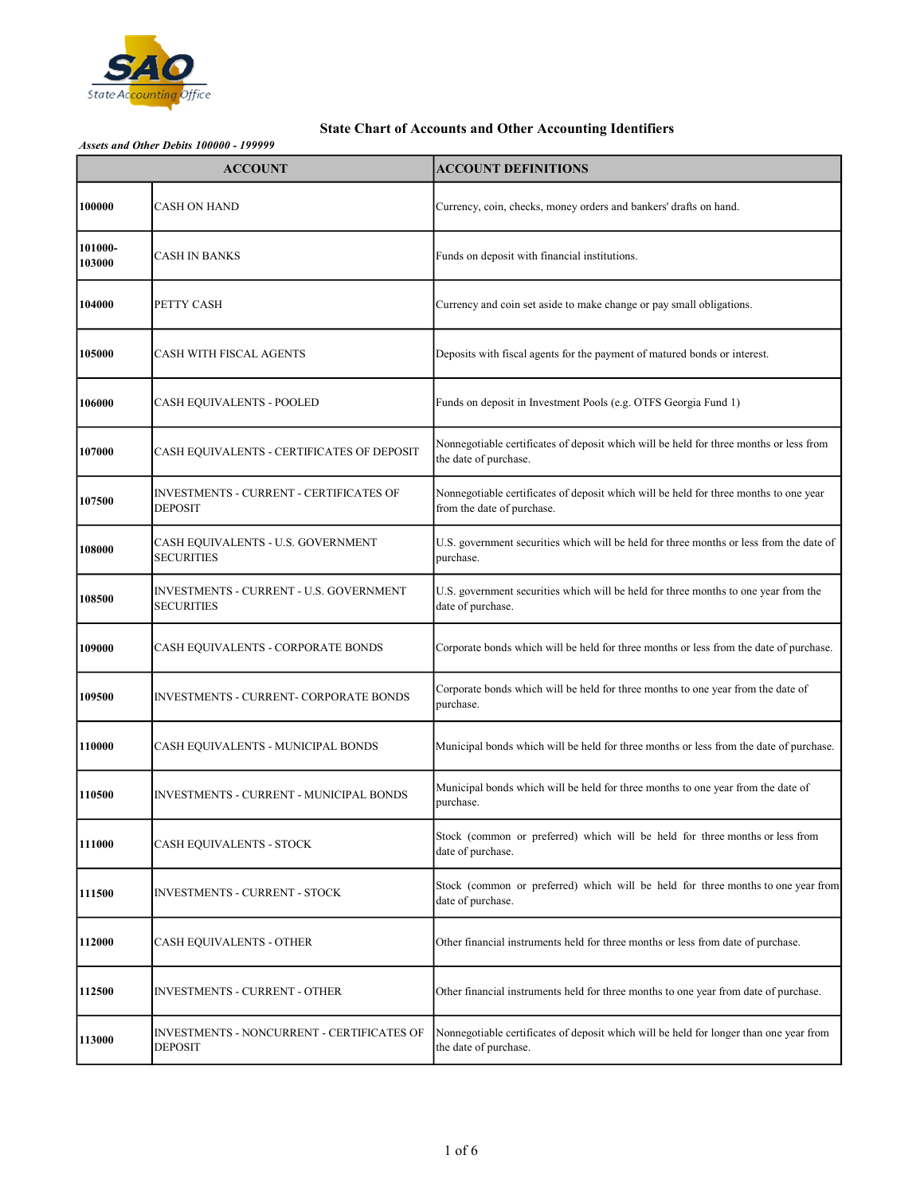

|                   | <b>ACCOUNT</b>                                               | <b>ACCOUNT DEFINITIONS</b>                                                                                          |
|-------------------|--------------------------------------------------------------|---------------------------------------------------------------------------------------------------------------------|
| 100000            | <b>CASH ON HAND</b>                                          | Currency, coin, checks, money orders and bankers' drafts on hand.                                                   |
| 101000-<br>103000 | CASH IN BANKS                                                | Funds on deposit with financial institutions.                                                                       |
| 104000            | PETTY CASH                                                   | Currency and coin set aside to make change or pay small obligations.                                                |
| 105000            | CASH WITH FISCAL AGENTS                                      | Deposits with fiscal agents for the payment of matured bonds or interest.                                           |
| 106000            | CASH EQUIVALENTS - POOLED                                    | Funds on deposit in Investment Pools (e.g. OTFS Georgia Fund 1)                                                     |
| 107000            | CASH EQUIVALENTS - CERTIFICATES OF DEPOSIT                   | Nonnegotiable certificates of deposit which will be held for three months or less from<br>the date of purchase.     |
| 107500            | INVESTMENTS - CURRENT - CERTIFICATES OF<br><b>DEPOSIT</b>    | Nonnegotiable certificates of deposit which will be held for three months to one year<br>from the date of purchase. |
| 108000            | CASH EQUIVALENTS - U.S. GOVERNMENT<br><b>SECURITIES</b>      | U.S. government securities which will be held for three months or less from the date of<br>purchase.                |
| 108500            | INVESTMENTS - CURRENT - U.S. GOVERNMENT<br><b>SECURITIES</b> | U.S. government securities which will be held for three months to one year from the<br>date of purchase.            |
| 109000            | CASH EQUIVALENTS - CORPORATE BONDS                           | Corporate bonds which will be held for three months or less from the date of purchase.                              |
| 109500            | INVESTMENTS - CURRENT- CORPORATE BONDS                       | Corporate bonds which will be held for three months to one year from the date of<br>purchase.                       |
| 110000            | CASH EQUIVALENTS - MUNICIPAL BONDS                           | Municipal bonds which will be held for three months or less from the date of purchase.                              |
| 110500            | INVESTMENTS - CURRENT - MUNICIPAL BONDS                      | Municipal bonds which will be held for three months to one year from the date of<br>purchase.                       |
| 111000            | CASH EQUIVALENTS - STOCK                                     | Stock (common or preferred) which will be held for three months or less from<br>date of purchase.                   |
| 111500            | INVESTMENTS - CURRENT - STOCK                                | Stock (common or preferred) which will be held for three months to one year from<br>date of purchase.               |
| 112000            | CASH EQUIVALENTS - OTHER                                     | Other financial instruments held for three months or less from date of purchase.                                    |
| 112500            | INVESTMENTS - CURRENT - OTHER                                | Other financial instruments held for three months to one year from date of purchase.                                |
| 113000            | INVESTMENTS - NONCURRENT - CERTIFICATES OF<br>DEPOSIT        | Nonnegotiable certificates of deposit which will be held for longer than one year from<br>the date of purchase.     |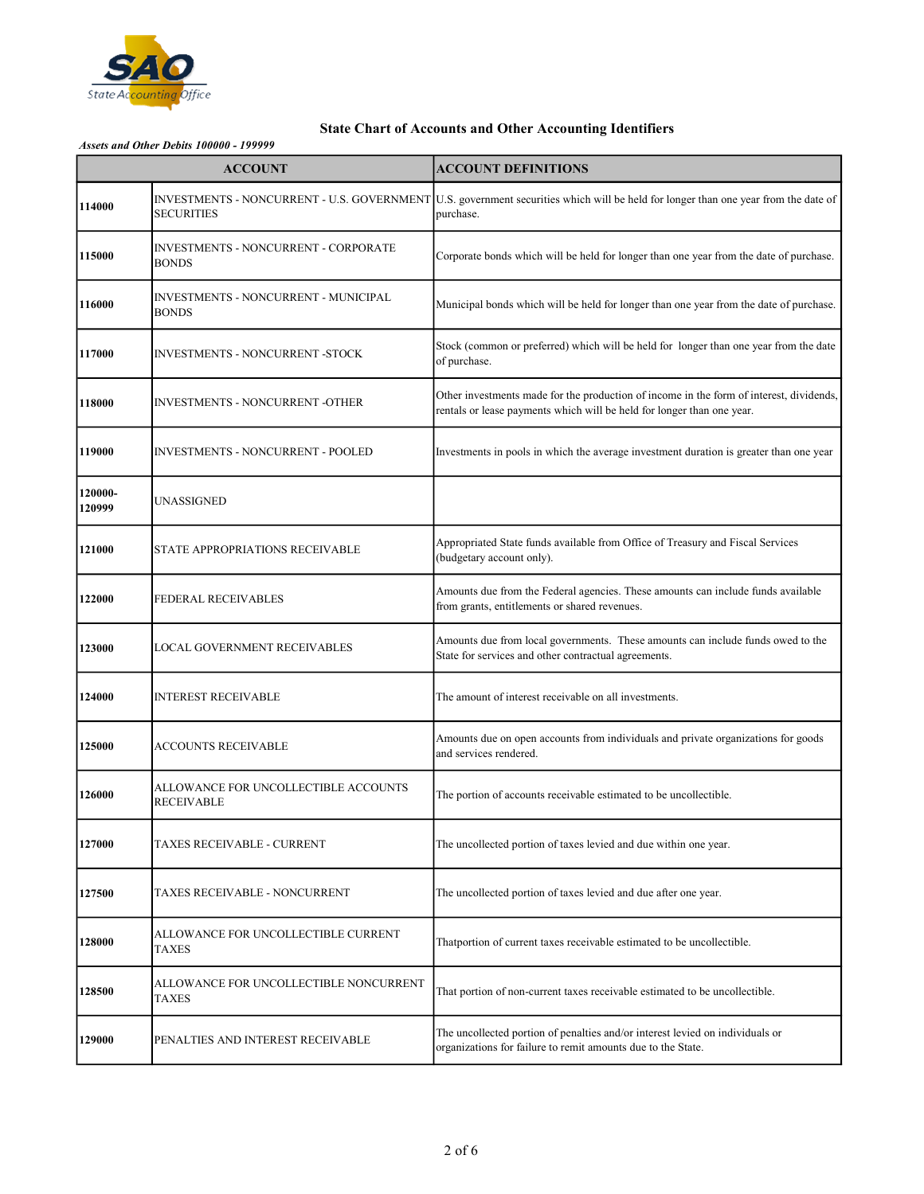

|                   | <b>ACCOUNT</b>                                              | <b>ACCOUNT DEFINITIONS</b>                                                                                                                                        |
|-------------------|-------------------------------------------------------------|-------------------------------------------------------------------------------------------------------------------------------------------------------------------|
| 114000            | <b>SECURITIES</b>                                           | INVESTMENTS - NONCURRENT - U.S. GOVERNMENT U.S. government securities which will be held for longer than one year from the date of<br>purchase.                   |
| 115000            | <b>INVESTMENTS - NONCURRENT - CORPORATE</b><br><b>BONDS</b> | Corporate bonds which will be held for longer than one year from the date of purchase.                                                                            |
| 116000            | INVESTMENTS - NONCURRENT - MUNICIPAL<br><b>BONDS</b>        | Municipal bonds which will be held for longer than one year from the date of purchase.                                                                            |
| 117000            | <b>INVESTMENTS - NONCURRENT -STOCK</b>                      | Stock (common or preferred) which will be held for longer than one year from the date<br>of purchase.                                                             |
| 118000            | <b>INVESTMENTS - NONCURRENT -OTHER</b>                      | Other investments made for the production of income in the form of interest, dividends,<br>rentals or lease payments which will be held for longer than one year. |
| 119000            | <b>INVESTMENTS - NONCURRENT - POOLED</b>                    | Investments in pools in which the average investment duration is greater than one year                                                                            |
| 120000-<br>120999 | UNASSIGNED                                                  |                                                                                                                                                                   |
| 121000            | STATE APPROPRIATIONS RECEIVABLE                             | Appropriated State funds available from Office of Treasury and Fiscal Services<br>(budgetary account only).                                                       |
| 122000            | FEDERAL RECEIVABLES                                         | Amounts due from the Federal agencies. These amounts can include funds available<br>from grants, entitlements or shared revenues.                                 |
| 123000            | LOCAL GOVERNMENT RECEIVABLES                                | Amounts due from local governments. These amounts can include funds owed to the<br>State for services and other contractual agreements.                           |
| 124000            | <b>INTEREST RECEIVABLE</b>                                  | The amount of interest receivable on all investments.                                                                                                             |
| 125000            | ACCOUNTS RECEIVABLE                                         | Amounts due on open accounts from individuals and private organizations for goods<br>and services rendered.                                                       |
| 126000            | ALLOWANCE FOR UNCOLLECTIBLE ACCOUNTS<br><b>RECEIVABLE</b>   | The portion of accounts receivable estimated to be uncollectible.                                                                                                 |
| 127000            | TAXES RECEIVABLE - CURRENT                                  | The uncollected portion of taxes levied and due within one year.                                                                                                  |
| 127500            | TAXES RECEIVABLE - NONCURRENT                               | The uncollected portion of taxes levied and due after one year.                                                                                                   |
| 128000            | ALLOWANCE FOR UNCOLLECTIBLE CURRENT<br><b>TAXES</b>         | Thatportion of current taxes receivable estimated to be uncollectible.                                                                                            |
| 128500            | ALLOWANCE FOR UNCOLLECTIBLE NONCURRENT<br><b>TAXES</b>      | That portion of non-current taxes receivable estimated to be uncollectible.                                                                                       |
| 129000            | PENALTIES AND INTEREST RECEIVABLE                           | The uncollected portion of penalties and/or interest levied on individuals or<br>organizations for failure to remit amounts due to the State.                     |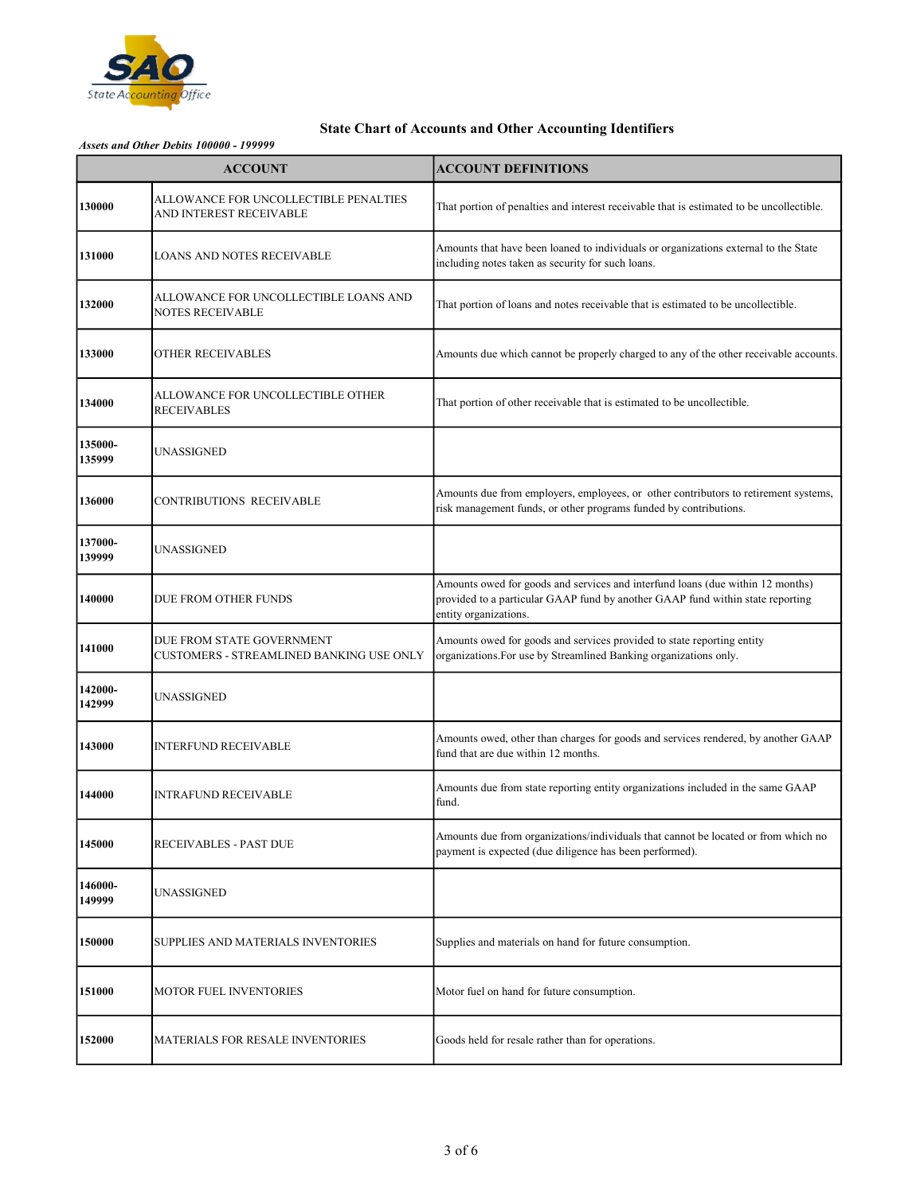

|                   | <b>ACCOUNT</b>                                                        | <b>ACCOUNT DEFINITIONS</b>                                                                                                                                                                |
|-------------------|-----------------------------------------------------------------------|-------------------------------------------------------------------------------------------------------------------------------------------------------------------------------------------|
| 130000            | ALLOWANCE FOR UNCOLLECTIBLE PENALTIES<br>AND INTEREST RECEIVABLE      | That portion of penalties and interest receivable that is estimated to be uncollectible.                                                                                                  |
| 131000            | <b>LOANS AND NOTES RECEIVABLE</b>                                     | Amounts that have been loaned to individuals or organizations external to the State<br>including notes taken as security for such loans.                                                  |
| 132000            | ALLOWANCE FOR UNCOLLECTIBLE LOANS AND<br><b>NOTES RECEIVABLE</b>      | That portion of loans and notes receivable that is estimated to be uncollectible.                                                                                                         |
| 133000            | <b>OTHER RECEIVABLES</b>                                              | Amounts due which cannot be properly charged to any of the other receivable accounts.                                                                                                     |
| 134000            | ALLOWANCE FOR UNCOLLECTIBLE OTHER<br><b>RECEIVABLES</b>               | That portion of other receivable that is estimated to be uncollectible.                                                                                                                   |
| 135000-<br>135999 | UNASSIGNED                                                            |                                                                                                                                                                                           |
| 136000            | CONTRIBUTIONS RECEIVABLE                                              | Amounts due from employers, employees, or other contributors to retirement systems,<br>risk management funds, or other programs funded by contributions.                                  |
| 137000-<br>139999 | UNASSIGNED                                                            |                                                                                                                                                                                           |
| 140000            | DUE FROM OTHER FUNDS                                                  | Amounts owed for goods and services and interfund loans (due within 12 months)<br>provided to a particular GAAP fund by another GAAP fund within state reporting<br>entity organizations. |
| 141000            | DUE FROM STATE GOVERNMENT<br>CUSTOMERS - STREAMLINED BANKING USE ONLY | Amounts owed for goods and services provided to state reporting entity<br>organizations. For use by Streamlined Banking organizations only.                                               |
| 142000-<br>142999 | UNASSIGNED                                                            |                                                                                                                                                                                           |
| 143000            | <b>INTERFUND RECEIVABLE</b>                                           | Amounts owed, other than charges for goods and services rendered, by another GAAP<br>fund that are due within 12 months.                                                                  |
| 144000            | <b>INTRAFUND RECEIVABLE</b>                                           | Amounts due from state reporting entity organizations included in the same GAAP<br>fund.                                                                                                  |
| 145000            | <b>RECEIVABLES - PAST DUE</b>                                         | Amounts due from organizations/individuals that cannot be located or from which no<br>payment is expected (due diligence has been performed).                                             |
| 146000-<br>149999 | UNASSIGNED                                                            |                                                                                                                                                                                           |
| 150000            | SUPPLIES AND MATERIALS INVENTORIES                                    | Supplies and materials on hand for future consumption.                                                                                                                                    |
| 151000            | <b>MOTOR FUEL INVENTORIES</b>                                         | Motor fuel on hand for future consumption.                                                                                                                                                |
| 152000            | <b>MATERIALS FOR RESALE INVENTORIES</b>                               | Goods held for resale rather than for operations.                                                                                                                                         |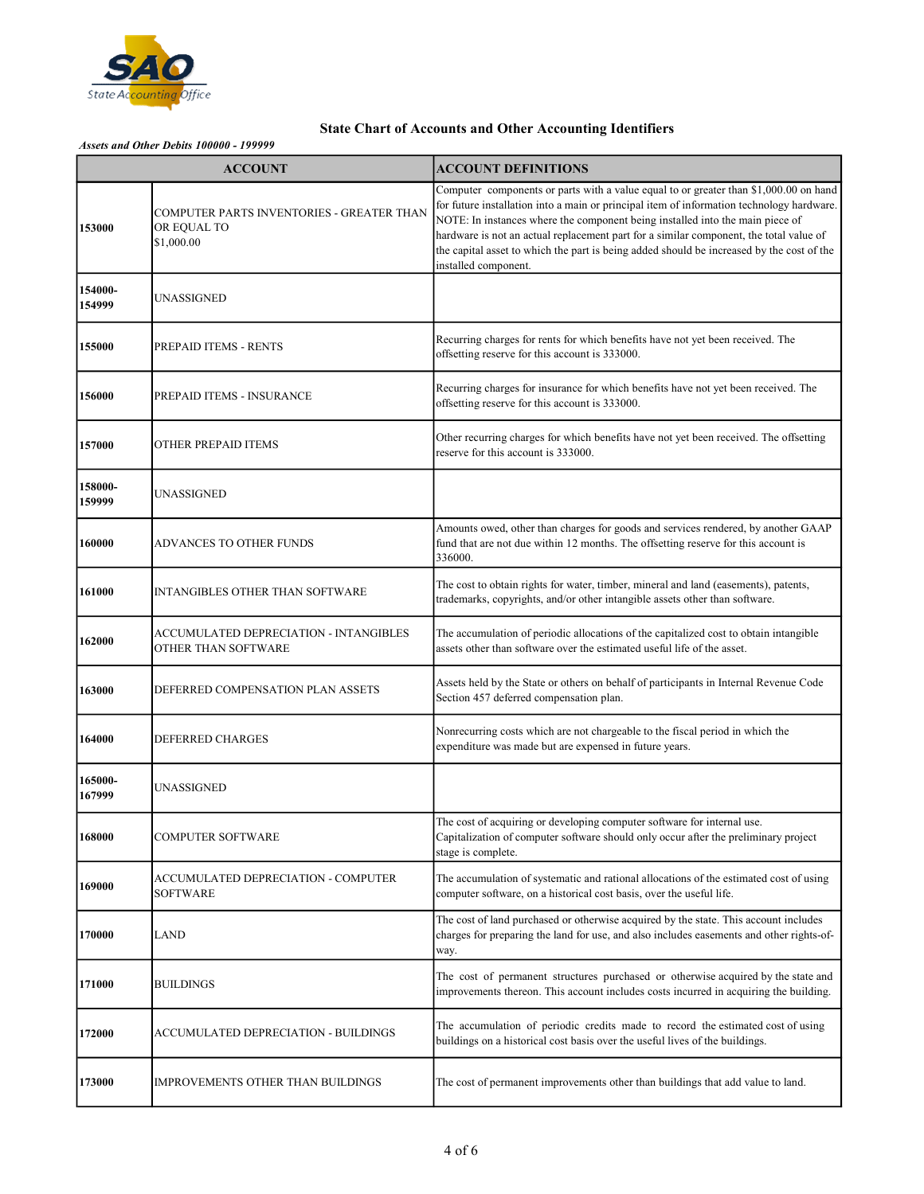

| <b>ACCOUNT</b>    |                                                                        | <b>ACCOUNT DEFINITIONS</b>                                                                                                                                                                                                                                                                                                                                                                                                                                                         |
|-------------------|------------------------------------------------------------------------|------------------------------------------------------------------------------------------------------------------------------------------------------------------------------------------------------------------------------------------------------------------------------------------------------------------------------------------------------------------------------------------------------------------------------------------------------------------------------------|
| 153000            | COMPUTER PARTS INVENTORIES - GREATER THAN<br>OR EQUAL TO<br>\$1,000.00 | Computer components or parts with a value equal to or greater than \$1,000.00 on hand<br>for future installation into a main or principal item of information technology hardware.<br>NOTE: In instances where the component being installed into the main piece of<br>hardware is not an actual replacement part for a similar component, the total value of<br>the capital asset to which the part is being added should be increased by the cost of the<br>installed component. |
| 154000-<br>154999 | UNASSIGNED                                                             |                                                                                                                                                                                                                                                                                                                                                                                                                                                                                    |
| 155000            | PREPAID ITEMS - RENTS                                                  | Recurring charges for rents for which benefits have not yet been received. The<br>offsetting reserve for this account is 333000.                                                                                                                                                                                                                                                                                                                                                   |
| 156000            | PREPAID ITEMS - INSURANCE                                              | Recurring charges for insurance for which benefits have not yet been received. The<br>offsetting reserve for this account is 333000.                                                                                                                                                                                                                                                                                                                                               |
| 157000            | OTHER PREPAID ITEMS                                                    | Other recurring charges for which benefits have not yet been received. The offsetting<br>reserve for this account is 333000.                                                                                                                                                                                                                                                                                                                                                       |
| 158000-<br>159999 | UNASSIGNED                                                             |                                                                                                                                                                                                                                                                                                                                                                                                                                                                                    |
| 160000            | ADVANCES TO OTHER FUNDS                                                | Amounts owed, other than charges for goods and services rendered, by another GAAP<br>fund that are not due within 12 months. The offsetting reserve for this account is<br>336000.                                                                                                                                                                                                                                                                                                 |
| 161000            | INTANGIBLES OTHER THAN SOFTWARE                                        | The cost to obtain rights for water, timber, mineral and land (easements), patents,<br>trademarks, copyrights, and/or other intangible assets other than software.                                                                                                                                                                                                                                                                                                                 |
| 162000            | ACCUMULATED DEPRECIATION - INTANGIBLES<br>OTHER THAN SOFTWARE          | The accumulation of periodic allocations of the capitalized cost to obtain intangible<br>assets other than software over the estimated useful life of the asset.                                                                                                                                                                                                                                                                                                                   |
| 163000            | DEFERRED COMPENSATION PLAN ASSETS                                      | Assets held by the State or others on behalf of participants in Internal Revenue Code<br>Section 457 deferred compensation plan.                                                                                                                                                                                                                                                                                                                                                   |
| 164000            | DEFERRED CHARGES                                                       | Nonrecurring costs which are not chargeable to the fiscal period in which the<br>expenditure was made but are expensed in future years.                                                                                                                                                                                                                                                                                                                                            |
| 165000-<br>167999 | UNASSIGNED                                                             |                                                                                                                                                                                                                                                                                                                                                                                                                                                                                    |
| 168000            | COMPUTER SOFTWARE                                                      | The cost of acquiring or developing computer software for internal use.<br>Capitalization of computer software should only occur after the preliminary project<br>stage is complete.                                                                                                                                                                                                                                                                                               |
| 169000            | ACCUMULATED DEPRECIATION - COMPUTER<br>SOFTWARE                        | The accumulation of systematic and rational allocations of the estimated cost of using<br>computer software, on a historical cost basis, over the useful life.                                                                                                                                                                                                                                                                                                                     |
| 170000            | LAND                                                                   | The cost of land purchased or otherwise acquired by the state. This account includes<br>charges for preparing the land for use, and also includes easements and other rights-of-<br>way.                                                                                                                                                                                                                                                                                           |
| 171000            | BUILDINGS                                                              | The cost of permanent structures purchased or otherwise acquired by the state and<br>improvements thereon. This account includes costs incurred in acquiring the building.                                                                                                                                                                                                                                                                                                         |
| 172000            | ACCUMULATED DEPRECIATION - BUILDINGS                                   | The accumulation of periodic credits made to record the estimated cost of using<br>buildings on a historical cost basis over the useful lives of the buildings.                                                                                                                                                                                                                                                                                                                    |
| 173000            | IMPROVEMENTS OTHER THAN BUILDINGS                                      | The cost of permanent improvements other than buildings that add value to land.                                                                                                                                                                                                                                                                                                                                                                                                    |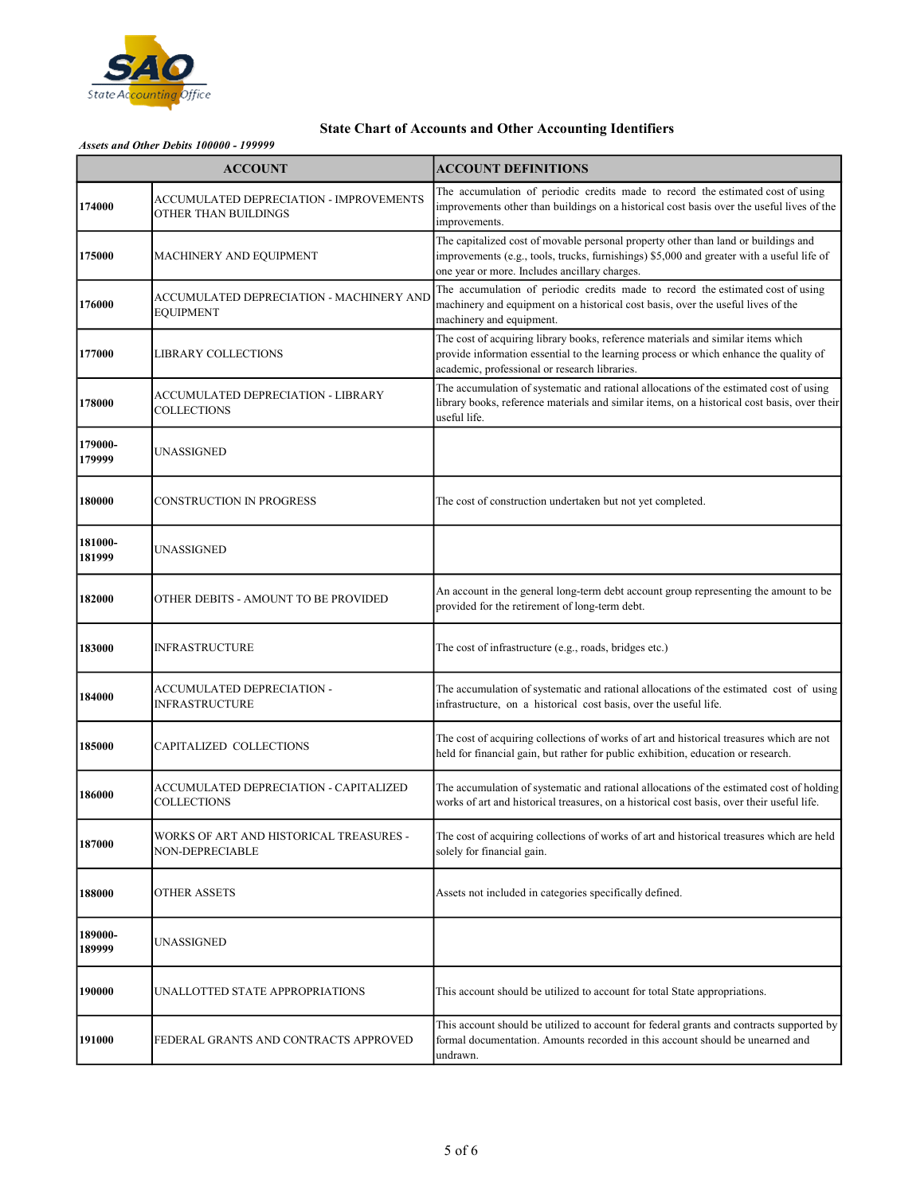

|                   | <b>ACCOUNT</b>                                                  | <b>ACCOUNT DEFINITIONS</b>                                                                                                                                                                                                       |
|-------------------|-----------------------------------------------------------------|----------------------------------------------------------------------------------------------------------------------------------------------------------------------------------------------------------------------------------|
| 174000            | ACCUMULATED DEPRECIATION - IMPROVEMENTS<br>OTHER THAN BUILDINGS | The accumulation of periodic credits made to record the estimated cost of using<br>improvements other than buildings on a historical cost basis over the useful lives of the<br>improvements.                                    |
| 175000            | <b>MACHINERY AND EQUIPMENT</b>                                  | The capitalized cost of movable personal property other than land or buildings and<br>improvements (e.g., tools, trucks, furnishings) \$5,000 and greater with a useful life of<br>one year or more. Includes ancillary charges. |
| 176000            | ACCUMULATED DEPRECIATION - MACHINERY AND<br><b>EQUIPMENT</b>    | The accumulation of periodic credits made to record the estimated cost of using<br>machinery and equipment on a historical cost basis, over the useful lives of the<br>machinery and equipment.                                  |
| 177000            | LIBRARY COLLECTIONS                                             | The cost of acquiring library books, reference materials and similar items which<br>provide information essential to the learning process or which enhance the quality of<br>academic, professional or research libraries.       |
| 178000            | ACCUMULATED DEPRECIATION - LIBRARY<br><b>COLLECTIONS</b>        | The accumulation of systematic and rational allocations of the estimated cost of using<br>library books, reference materials and similar items, on a historical cost basis, over their<br>useful life.                           |
| 179000-<br>179999 | UNASSIGNED                                                      |                                                                                                                                                                                                                                  |
| 180000            | <b>CONSTRUCTION IN PROGRESS</b>                                 | The cost of construction undertaken but not yet completed.                                                                                                                                                                       |
| 181000-<br>181999 | UNASSIGNED                                                      |                                                                                                                                                                                                                                  |
| 182000            | OTHER DEBITS - AMOUNT TO BE PROVIDED                            | An account in the general long-term debt account group representing the amount to be<br>provided for the retirement of long-term debt.                                                                                           |
| 183000            | INFRASTRUCTURE                                                  | The cost of infrastructure (e.g., roads, bridges etc.)                                                                                                                                                                           |
| 184000            | ACCUMULATED DEPRECIATION -<br>INFRASTRUCTURE                    | The accumulation of systematic and rational allocations of the estimated cost of using<br>infrastructure, on a historical cost basis, over the useful life.                                                                      |
| 185000            | CAPITALIZED COLLECTIONS                                         | The cost of acquiring collections of works of art and historical treasures which are not<br>held for financial gain, but rather for public exhibition, education or research.                                                    |
| 186000            | ACCUMULATED DEPRECIATION - CAPITALIZED<br>COLLECTIONS           | The accumulation of systematic and rational allocations of the estimated cost of holding<br>works of art and historical treasures, on a historical cost basis, over their useful life.                                           |
| 187000            | WORKS OF ART AND HISTORICAL TREASURES -<br>NON-DEPRECIABLE      | The cost of acquiring collections of works of art and historical treasures which are held<br>solely for financial gain.                                                                                                          |
| 188000            | OTHER ASSETS                                                    | Assets not included in categories specifically defined.                                                                                                                                                                          |
| 189000-<br>189999 | UNASSIGNED                                                      |                                                                                                                                                                                                                                  |
| 190000            | UNALLOTTED STATE APPROPRIATIONS                                 | This account should be utilized to account for total State appropriations.                                                                                                                                                       |
| 191000            | FEDERAL GRANTS AND CONTRACTS APPROVED                           | This account should be utilized to account for federal grants and contracts supported by<br>formal documentation. Amounts recorded in this account should be unearned and<br>undrawn.                                            |